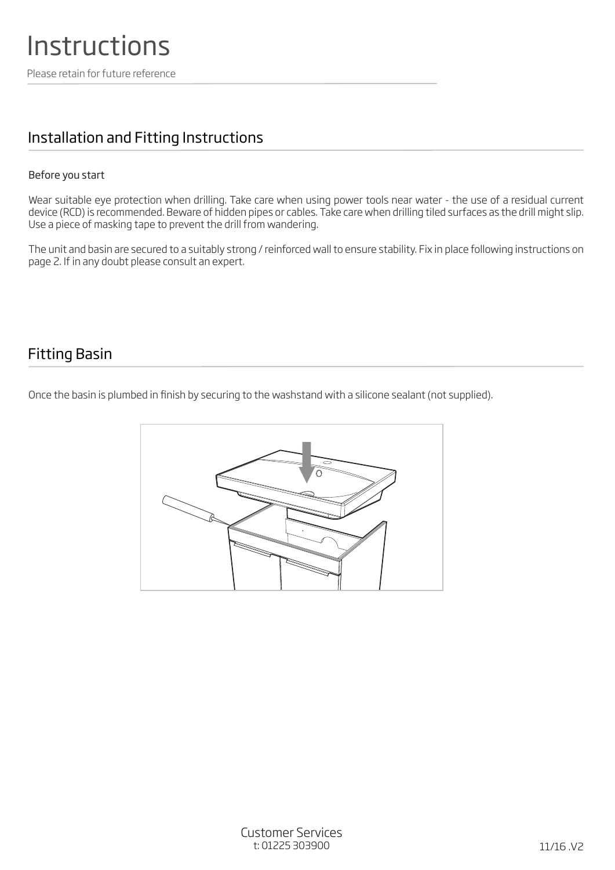### Installation and Fitting Instructions

#### Before you start

Wear suitable eye protection when drilling. Take care when using power tools near water - the use of a residual current device (RCD) is recommended. Beware of hidden pipes or cables. Take care when drilling tiled surfaces as the drill might slip. Use a piece of masking tape to prevent the drill from wandering.

The unit and basin are secured to a suitably strong / reinforced wall to ensure stability. Fix in place following instructions on page 2. If in any doubt please consult an expert.

#### Fitting Basin

Once the basin is plumbed in finish by securing to the washstand with a silicone sealant (not supplied).

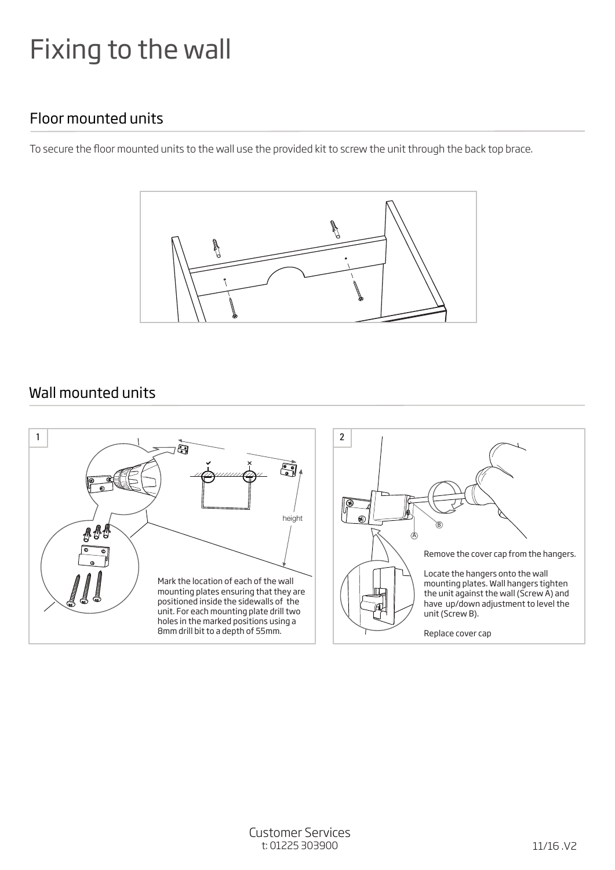# Fixing to the wall

## Floor mounted units

To secure the floor mounted units to the wall use the provided kit to screw the unit through the back top brace.



#### Wall mounted units

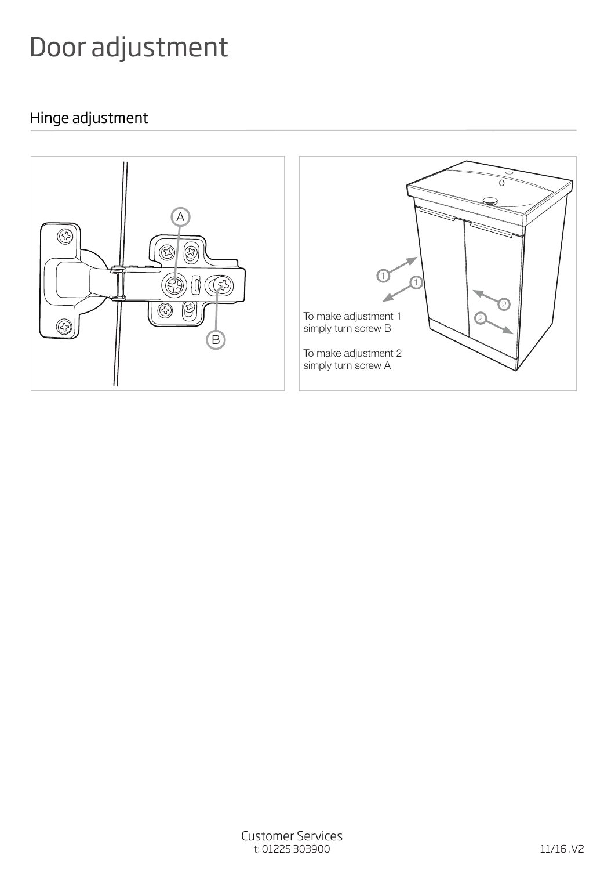# Door adjustment

# Hinge adjustment

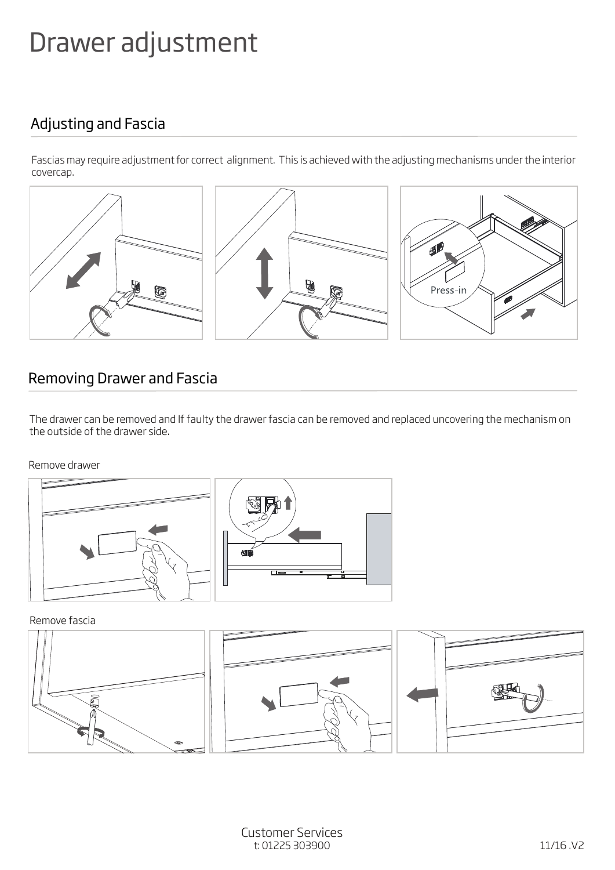# Drawer adjustment

## Adjusting and Fascia

Fascias may require adjustment for correct alignment. This is achieved with the adjusting mechanisms under the interior covercap.



## Removing Drawer and Fascia

The drawer can be removed and If faulty the drawer fascia can be removed and replaced uncovering the mechanism on the outside of the drawer side.

#### Remove drawer



Remove fascia